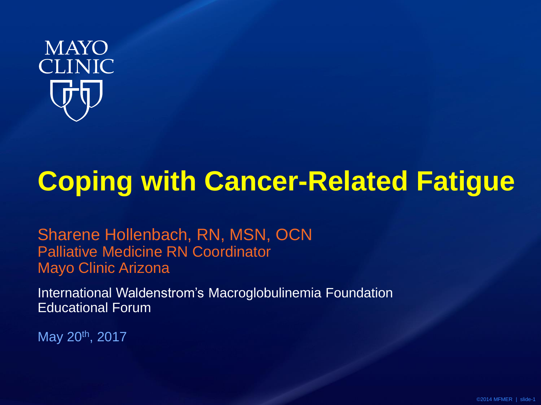

### **Coping with Cancer-Related Fatigue**

Sharene Hollenbach, RN, MSN, OCN Palliative Medicine RN Coordinator Mayo Clinic Arizona

International Waldenstrom's Macroglobulinemia Foundation Educational Forum

May 20<sup>th</sup>, 2017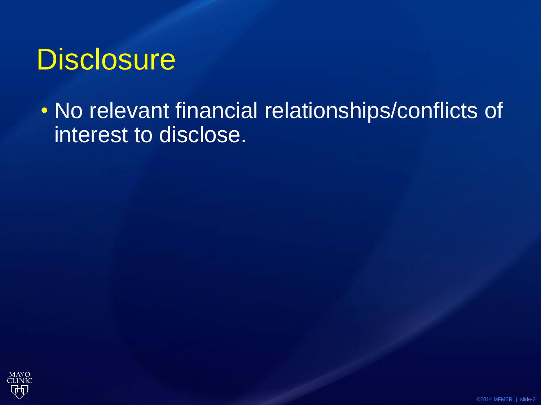### **Disclosure**

• No relevant financial relationships/conflicts of interest to disclose.

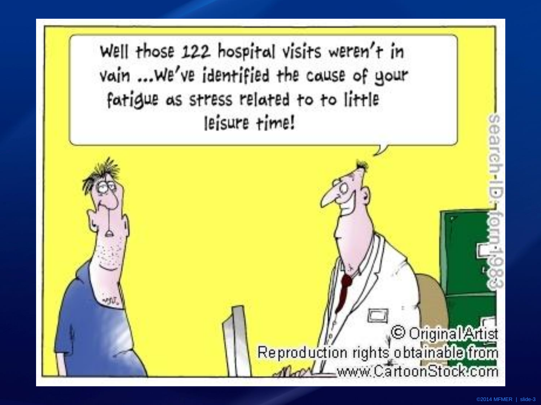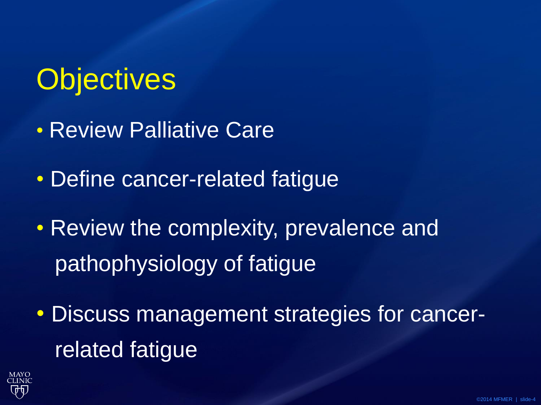### **Objectives**

• Review Palliative Care

- Define cancer-related fatigue
- Review the complexity, prevalence and pathophysiology of fatigue
- Discuss management strategies for cancer related fatigue

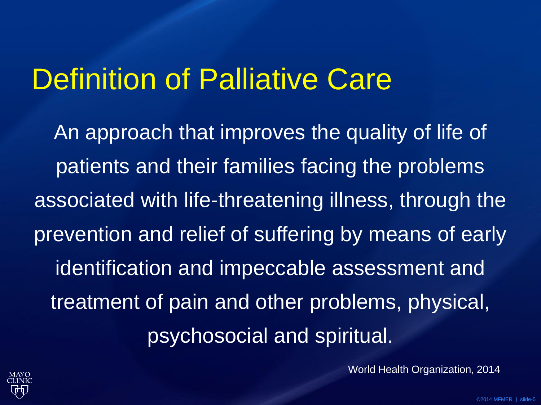### Definition of Palliative Care

An approach that improves the quality of life of patients and their families facing the problems associated with life-threatening illness, through the prevention and relief of suffering by means of early identification and impeccable assessment and treatment of pain and other problems, physical, psychosocial and spiritual.



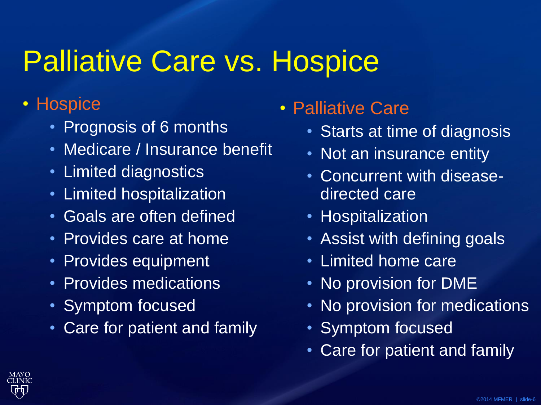### Palliative Care vs. Hospice

#### • Hospice

- Prognosis of 6 months
- Medicare / Insurance benefit
- Limited diagnostics
- Limited hospitalization
- Goals are often defined
- Provides care at home
- Provides equipment
- Provides medications
- Symptom focused
- Care for patient and family

• Palliative Care

- Starts at time of diagnosis
- Not an insurance entity
- Concurrent with diseasedirected care
- Hospitalization
- Assist with defining goals
- Limited home care
- No provision for DME
- No provision for medications
- Symptom focused
- Care for patient and family

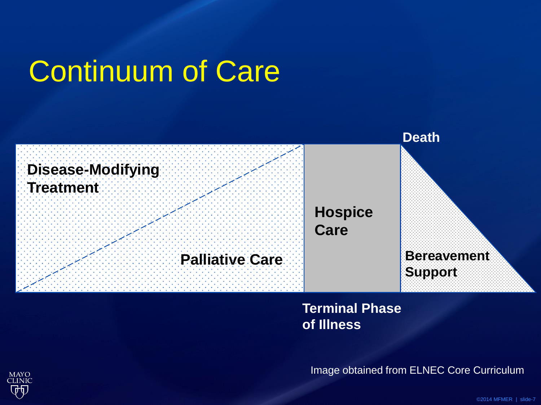# Continuum of Care



**Terminal Phase of Illness**

Image obtained from ELNEC Core Curriculum

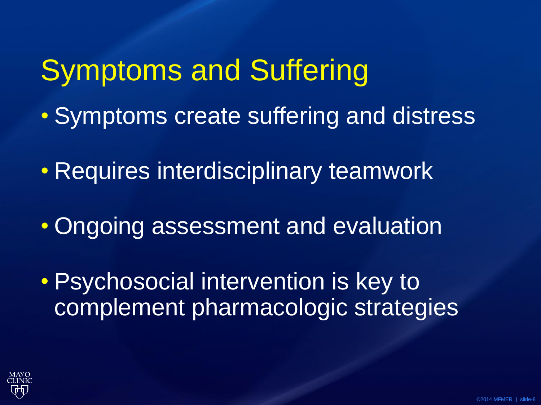### Symptoms and Suffering

- Symptoms create suffering and distress
- Requires interdisciplinary teamwork
- Ongoing assessment and evaluation

• Psychosocial intervention is key to complement pharmacologic strategies

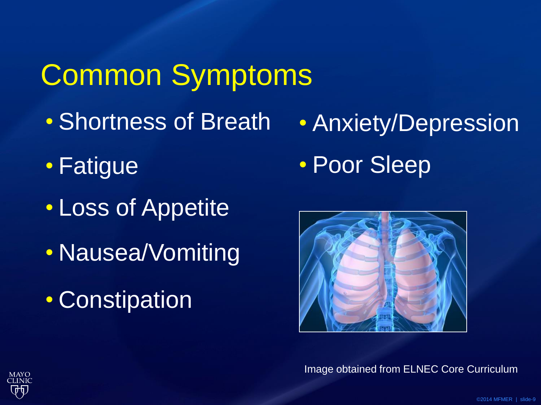### Common Symptoms

- Shortness of Breath
- Fatigue
- Loss of Appetite
- Nausea/Vomiting
- Constipation





Image obtained from ELNEC Core Curriculum

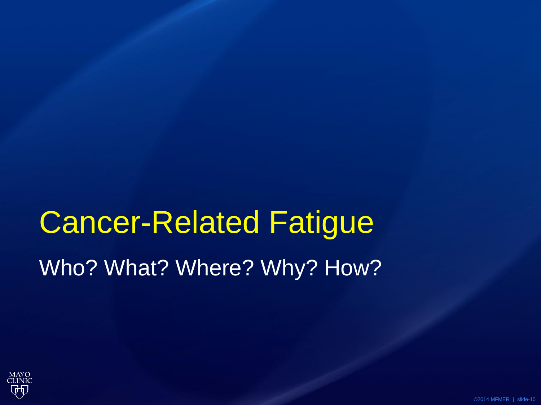# Cancer-Related Fatigue Who? What? Where? Why? How?

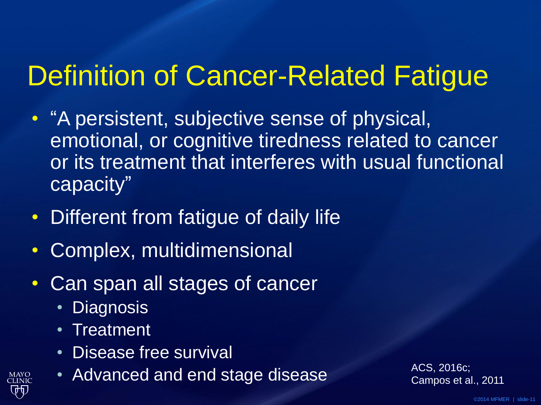### Definition of Cancer-Related Fatigue

- "A persistent, subjective sense of physical, emotional, or cognitive tiredness related to cancer or its treatment that interferes with usual functional capacity"
- Different from fatigue of daily life
- Complex, multidimensional
- Can span all stages of cancer
	- Diagnosis
	- **Treatment**
	- Disease free survival
	- Advanced and end stage disease  $\overline{A}$ <sup>ACS, 2016c;</sup>

Campos et al., 2011

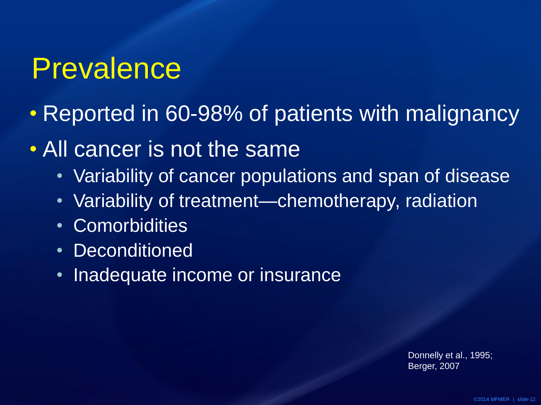### Prevalence

- Reported in 60-98% of patients with malignancy
- All cancer is not the same
	- Variability of cancer populations and span of disease
	- Variability of treatment—chemotherapy, radiation
	- **Comorbidities**
	- Deconditioned
	- Inadequate income or insurance

Donnelly et al., 1995; Berger, 2007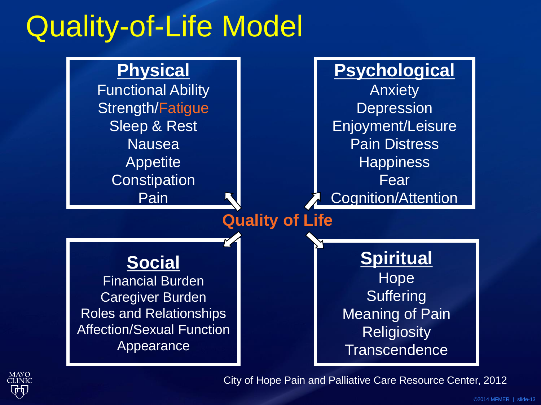## Quality-of-Life Model





City of Hope Pain and Palliative Care Resource Center, 2012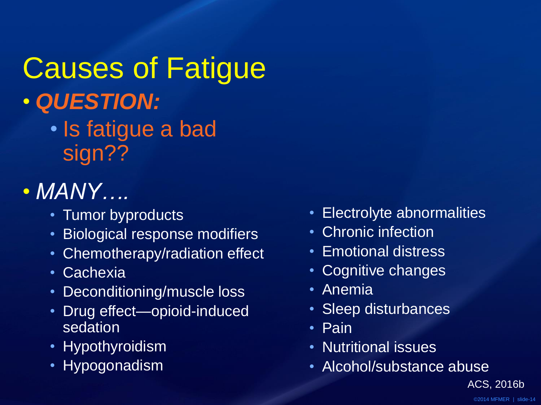Causes of Fatigue • *QUESTION:* • Is fatigue a bad sign??

### • *MANY….*

- Tumor byproducts
- Biological response modifiers
- Chemotherapy/radiation effect
- Cachexia
- Deconditioning/muscle loss
- Drug effect—opioid-induced sedation
- Hypothyroidism
- Hypogonadism
- Electrolyte abnormalities
- Chronic infection
- Emotional distress
- Cognitive changes
- Anemia
- Sleep disturbances
- Pain
- Nutritional issues
- Alcohol/substance abuse

ACS, 2016b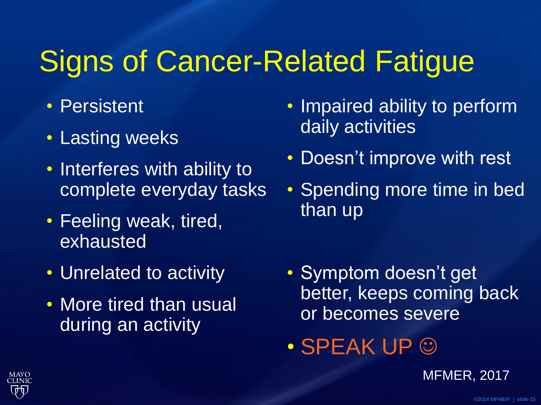# Signs of Cancer-Related Fatigue

- Persistent
- Lasting weeks
- Interferes with ability to complete everyday tasks
- Feeling weak, tired, exhausted
- Unrelated to activity
- More tired than usual during an activity
- Impaired ability to perform daily activities
- Doesn't improve with rest
- Spending more time in bed than up

- Symptom doesn't get better, keeps coming back or becomes severe
- SPEAK UP  $\odot$

MFMER, 2017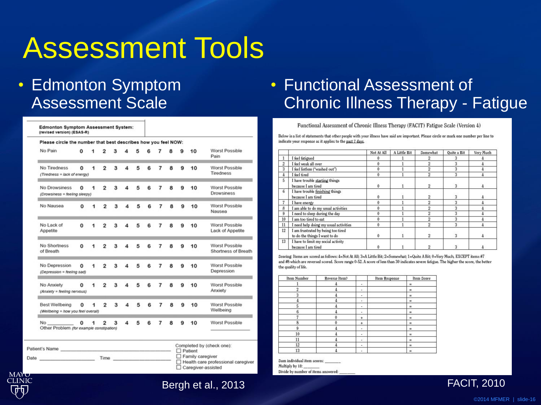### Assessment Tools

#### • Edmonton Symptom Assessment Scale

| No Pain<br>0<br>No Tiredness<br>$\Omega$<br>(Tiredness = lack of energy)<br>No Drowsiness<br>O<br>(Drowsiness = feeling sleepy)<br>No Nausea<br>0<br>No Lack of<br>0<br>Appetite<br>No Shortness<br>0<br>of Breath | 1<br>1<br>1<br>1<br>1<br>1 | 2<br>$\overline{2}$<br>$\overline{2}$<br>$\overline{2}$<br>$\overline{2}$ | 3<br>3<br>3<br>3<br>3 | Δ<br>Δ<br>Δ<br>Δ<br>4 | 5<br>5<br>5<br>5<br>5 | 6<br>6<br>6<br>6<br>6 | 7<br>7<br>7<br>7<br>7 | 8<br>8<br>8<br>8 | 9<br>9<br>я<br>۹ | 10<br>10<br>10<br>10 | Worst Possible<br>Pain<br>Worst Possible<br><b>Tiredness</b><br>Worst Possible<br><b>Drowsiness</b><br>Worst Possible<br>Nausea |
|--------------------------------------------------------------------------------------------------------------------------------------------------------------------------------------------------------------------|----------------------------|---------------------------------------------------------------------------|-----------------------|-----------------------|-----------------------|-----------------------|-----------------------|------------------|------------------|----------------------|---------------------------------------------------------------------------------------------------------------------------------|
|                                                                                                                                                                                                                    |                            |                                                                           |                       |                       |                       |                       |                       |                  |                  |                      |                                                                                                                                 |
|                                                                                                                                                                                                                    |                            |                                                                           |                       |                       |                       |                       |                       |                  |                  |                      |                                                                                                                                 |
|                                                                                                                                                                                                                    |                            |                                                                           |                       |                       |                       |                       |                       |                  |                  |                      |                                                                                                                                 |
|                                                                                                                                                                                                                    |                            |                                                                           |                       |                       |                       |                       |                       |                  |                  |                      |                                                                                                                                 |
|                                                                                                                                                                                                                    |                            |                                                                           |                       |                       |                       |                       |                       | 8                | 9                | 10                   | Worst Possible<br>Lack of Appetite                                                                                              |
|                                                                                                                                                                                                                    |                            | $\overline{a}$                                                            | 3                     | Δ                     | 5                     | 6                     | 7                     | 8                | 9                | 10                   | Worst Possible<br>Shortness of Breath                                                                                           |
| No Depression<br>0<br>(Depression = feeling sad)                                                                                                                                                                   | 1                          | $\overline{2}$                                                            | 3                     | Δ                     | 5                     | 6                     | 7                     | 8                | я                | 10                   | Worst Possible<br>Depression                                                                                                    |
| No Anxiety<br>0<br>(Anxiety = feeling nervous)                                                                                                                                                                     | 1                          | $\overline{2}$                                                            | 3                     | 4                     | 5                     | 6                     | 7                     | 8                | ۹                | 10                   | Worst Possible<br>Anxiety                                                                                                       |
| <b>Best Wellbeing</b><br>0<br>(Wellbeing = how you feel overall)                                                                                                                                                   | 1                          | $\overline{2}$                                                            | 3                     | 4                     | 5                     | 6                     | 7                     | 8                | 9                | 10                   | Worst Possible<br>Wellbeing                                                                                                     |
| No.<br>o<br>Other Problem (for example constipation)                                                                                                                                                               | 1                          | 2                                                                         | 3                     | 4                     | 5                     | 6                     | $\overline{7}$        | 8                | 9                | 10                   | Worst Possible                                                                                                                  |

Caregiver-assisted

#### • Functional Assessment of Chronic Illness Therapy - Fatigue

Functional Assessment of Chronic Illness Therapy (FACIT) Fatigue Scale (Version 4)

Below is a list of statements that other people with your illness have said are important. Please circle or mark one number per line to indicate your response as it applies to the past 7 days.

|                |                                                                     | Not At All | A Little Bit | Somewhat       | Quite a Bit   | Very Much |
|----------------|---------------------------------------------------------------------|------------|--------------|----------------|---------------|-----------|
|                | I feel fatigued                                                     | ō          |              |                | 3             |           |
| $\overline{2}$ | I feel weak all over                                                | Ő          |              | 2              | 3             |           |
| 3              | I feel listless ("washed out")                                      | 0          |              | 2              | 3             |           |
| 4              | I feel tired                                                        | 0          |              | 2              | 3             |           |
| 5              | I have trouble starting things<br>because I am tired                | 0          |              | 2              | $\frac{1}{3}$ |           |
| 6              | I have trouble finishing things<br>because I am tired               | 0          |              | 2              | 3             |           |
| 7              | I have energy                                                       | 0          |              | 2              | 3             |           |
| 8              | am able to do my usual activities                                   | 0          |              | 2              | 3             |           |
| 9              | I need to sleep during the day                                      | 0          |              | $^{2}$         | 3             |           |
| 10             | am too tired to eat                                                 | 0          |              | 2              | 3             |           |
| 11             | I need help doing my usual activities                               | 0          |              | 2              | 3             |           |
| 12             | I am frustrated by being too tired<br>to do the things I want to do | 0          |              | $\overline{2}$ |               |           |
| 13             | I have to limit my social activity<br>because I am tired            | 0          |              |                | 3             |           |

Scoring: Items are scored as follows: 4=Not At All; 3=A Little Bit; 2=Somewhat; 1=Quite A Bit; 0=Very Much, EXCEPT items #7 and #8 which are reversed scored. Score range 0-52. A score of less than 30 indicates severe fatigue. The higher the score, the better the quality of life.

| Item Number    | Reverse Item? |           | Item Response | Item Score |
|----------------|---------------|-----------|---------------|------------|
|                |               | . .       |               | $=$        |
| $\overline{2}$ | Δ             | ۰.        |               | $=$        |
| 3              |               | ۰         |               | $=$        |
|                | Δ             | ۰         |               | $=$        |
| 5              |               |           |               | $=$        |
| 6              |               | ۰         |               | $=$        |
|                | $\theta$      | $\ddot{}$ |               | $=$        |
| 8              | 0             | $+$       |               | $=$        |
| 9              | Δ             | ۰         |               | $=$        |
| 10             |               | ٠         |               | $\equiv$   |
| 11             |               | ä.        |               | $=$        |
| 12             |               | ۰         |               | $=$        |
| 13             |               |           |               | $\equiv$   |

Sum individual item scores: Multiply by 18:

Divide by number of items answered:



#### ©2014 MFMER | slide-16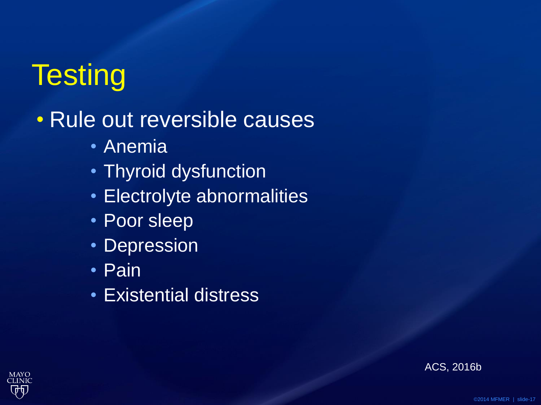### **Testing**

### • Rule out reversible causes

- Anemia
- Thyroid dysfunction
- Electrolyte abnormalities
- Poor sleep
- Depression
- Pain
- Existential distress



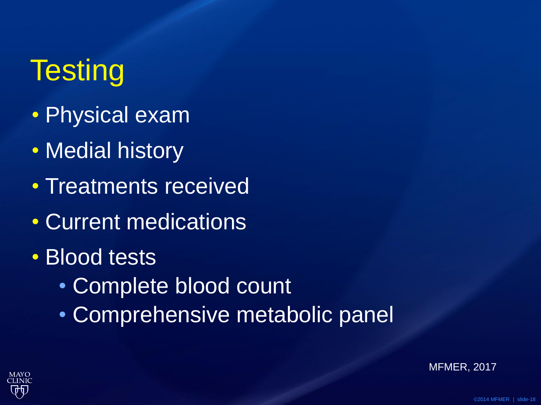## **Testing**

- Physical exam
- Medial history
- Treatments received
- Current medications
- Blood tests
	- Complete blood count
	- Comprehensive metabolic panel



MFMER, 2017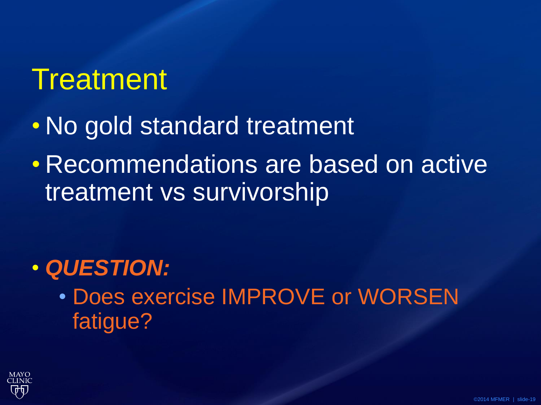### **Treatment**

- No gold standard treatment
- Recommendations are based on active treatment vs survivorship

### • *QUESTION:*

• Does exercise IMPROVE or WORSEN fatigue?

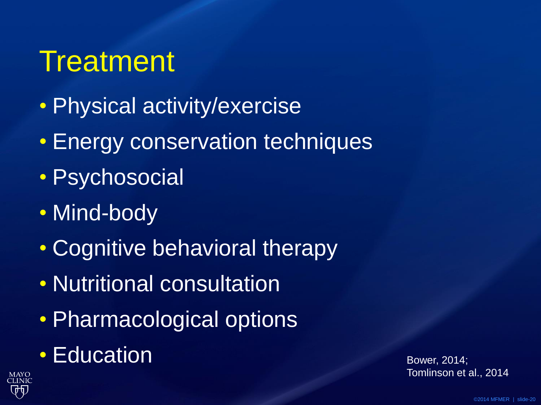### **Treatment**

- Physical activity/exercise
- Energy conservation techniques
- Psychosocial
- Mind-body
- Cognitive behavioral therapy
- Nutritional consultation
- Pharmacological options
- Education Bower, 2014;



Tomlinson et al., 2014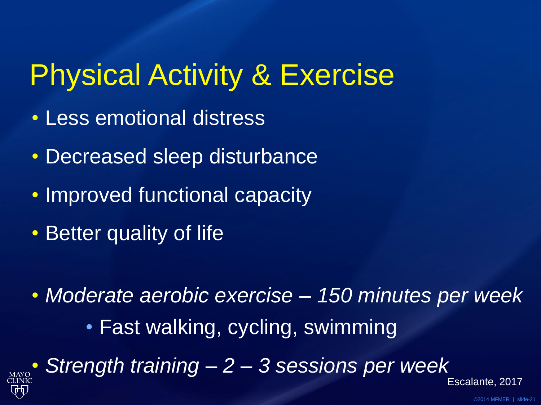### Physical Activity & Exercise

- Less emotional distress
- Decreased sleep disturbance
- Improved functional capacity
- Better quality of life
- *Moderate aerobic exercise – 150 minutes per week* • Fast walking, cycling, swimming • *Strength training – 2 – 3 sessions per week*



©2014 MFMER | slide-21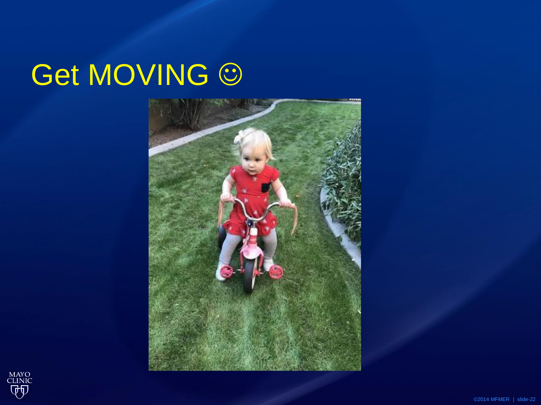# Get MOVING  $@$



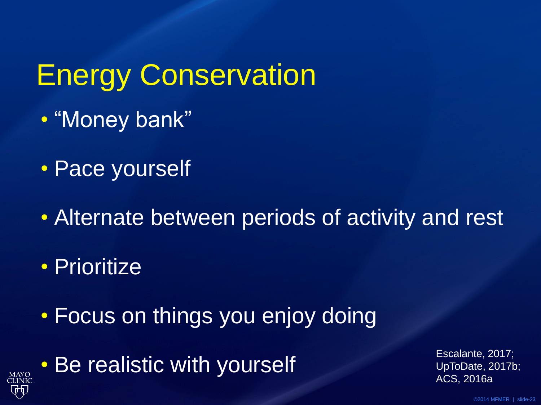### Energy Conservation

- "Money bank"
- Pace yourself
- Alternate between periods of activity and rest
- Prioritize

**MAYO CLINIC** 

- Focus on things you enjoy doing
- Be realistic with yourself Escalante, 2017;<br>De To Date, 2017b

UpToDate, 2017b; ACS, 2016a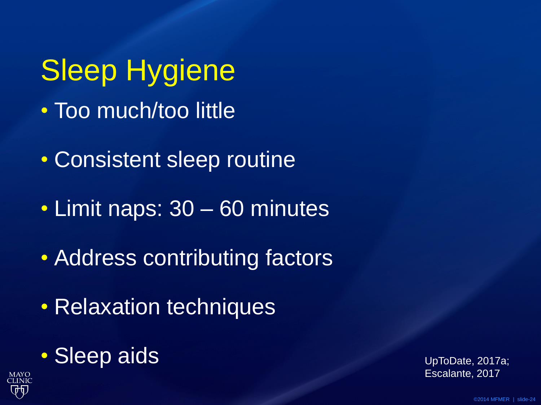Sleep Hygiene • Too much/too little

• Consistent sleep routine

• Limit naps: 30 – 60 minutes

• Address contributing factors

• Relaxation techniques

• Sleep aids UpToDate, 2017a;



Escalante, 2017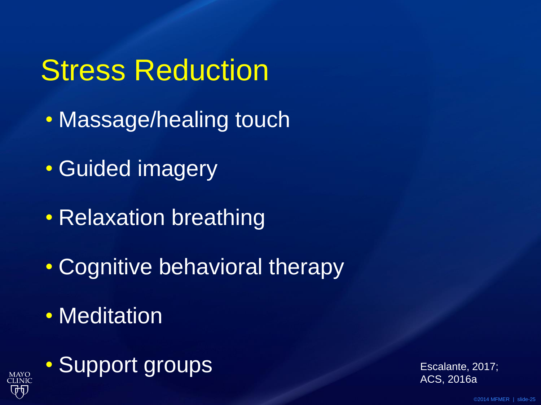# Stress Reduction

- Massage/healing touch
- Guided imagery
- Relaxation breathing
- Cognitive behavioral therapy
- Meditation

**MAYO CLINIC**  • Support groups Escalante, 2017;

ACS, 2016a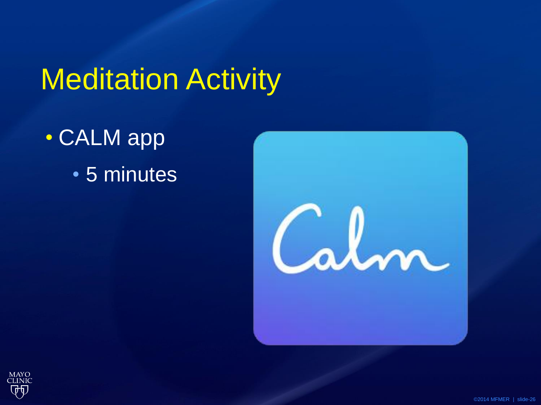### Meditation Activity

- CALM app
	- 5 minutes



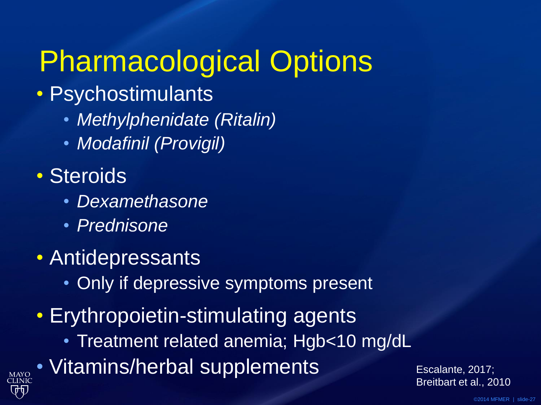# Pharmacological Options

- Psychostimulants
	- *Methylphenidate (Ritalin)*
	- *Modafinil (Provigil)*
- Steroids

**MAYO** CLINIC

- *Dexamethasone*
- *Prednisone*
- Antidepressants
	- Only if depressive symptoms present
- Erythropoietin-stimulating agents
	- Treatment related anemia; Hgb<10 mg/dL
- Vitamins/herbal supplements Escalante, 2017;

Breitbart et al., 2010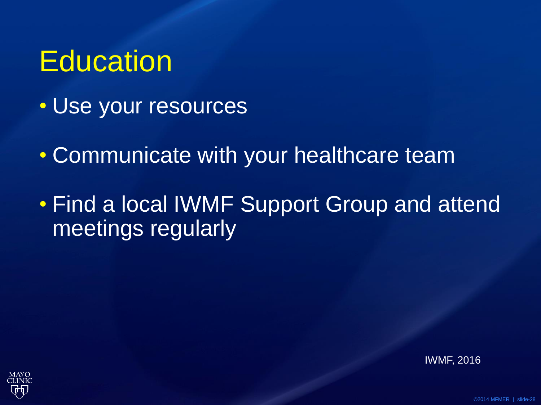### **Education**

- Use your resources
- Communicate with your healthcare team
- Find a local IWMF Support Group and attend meetings regularly



IWMF, 2016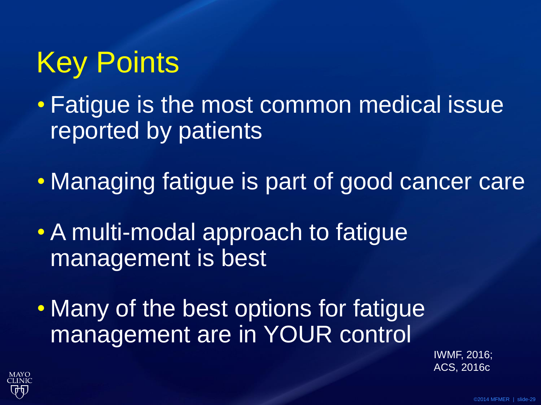## Key Points

• Fatigue is the most common medical issue reported by patients

- Managing fatigue is part of good cancer care
- A multi-modal approach to fatigue management is best
- Many of the best options for fatigue management are in YOUR control

IWMF, 2016; ACS, 2016c

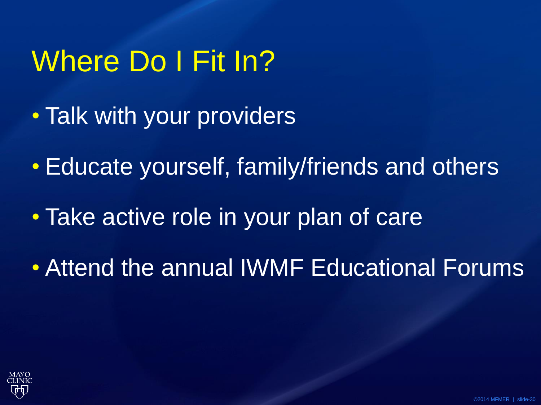### Where Do I Fit In?

- Talk with your providers
- Educate yourself, family/friends and others
- Take active role in your plan of care
- Attend the annual IWMF Educational Forums

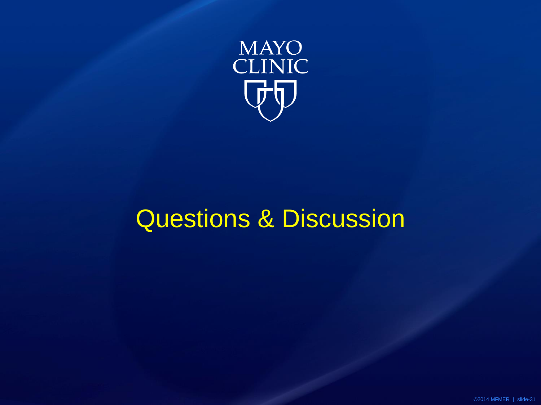

### Questions & Discussion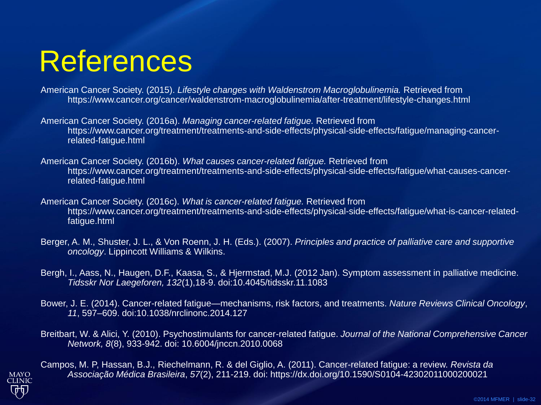### References

American Cancer Society. (2015). *Lifestyle changes with Waldenstrom Macroglobulinemia.* Retrieved from https://www.cancer.org/cancer/waldenstrom-macroglobulinemia/after-treatment/lifestyle-changes.html

American Cancer Society. (2016a). *Managing cancer-related fatigue.* Retrieved from https://www.cancer.org/treatment/treatments-and-side-effects/physical-side-effects/fatigue/managing-cancerrelated-fatigue.html

American Cancer Society. (2016b). *What causes cancer-related fatigue.* Retrieved from https://www.cancer.org/treatment/treatments-and-side-effects/physical-side-effects/fatigue/what-causes-cancerrelated-fatigue.html

American Cancer Society. (2016c). *What is cancer-related fatigue.* Retrieved from https://www.cancer.org/treatment/treatments-and-side-effects/physical-side-effects/fatigue/what-is-cancer-relatedfatigue.html

Berger, A. M., Shuster, J. L., & Von Roenn, J. H. (Eds.). (2007). *Principles and practice of palliative care and supportive oncology*. Lippincott Williams & Wilkins.

Bergh, I., Aass, N., Haugen, D.F., Kaasa, S., & Hjermstad, M.J. (2012 Jan). Symptom assessment in palliative medicine. *Tidsskr Nor Laegeforen, 132*(1),18-9. doi:10.4045/tidsskr.11.1083

Bower, J. E. (2014). Cancer-related fatigue—mechanisms, risk factors, and treatments. *Nature Reviews Clinical Oncology*, *11*, 597–609. doi:10.1038/nrclinonc.2014.127

Breitbart, W. & Alici, Y. (2010). Psychostimulants for cancer-related fatigue. *Journal of the National Comprehensive Cancer Network, 8*(8), 933-942. doi: 10.6004/jnccn.2010.0068



Campos, M. P, Hassan, B.J., Riechelmann, R. & del Giglio, A. (2011). Cancer-related fatigue: a review. *Revista da Associação Médica Brasileira*, *57*(2), 211-219. doi: https://dx.doi.org/10.1590/S0104-42302011000200021